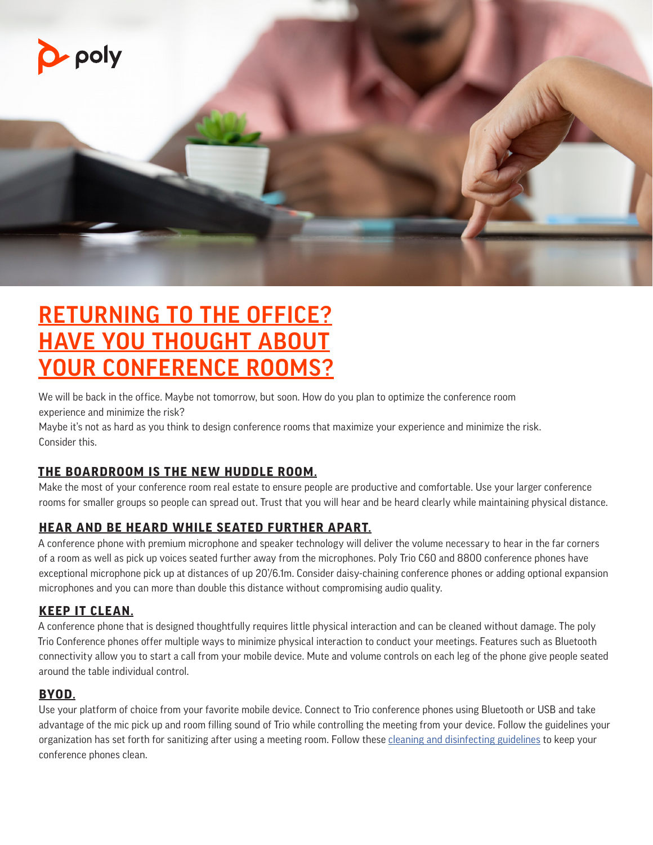

# RETURNING TO THE OFFICE? HAVE YOU THOUGHT ABOUT YOUR CONFERENCE ROOMS?

We will be back in the office. Maybe not tomorrow, but soon. How do you plan to optimize the conference room experience and minimize the risk?

Maybe it's not as hard as you think to design conference rooms that maximize your experience and minimize the risk. Consider this.

# **THE BOARDROOM IS THE NEW HUDDLE ROOM.**

Make the most of your conference room real estate to ensure people are productive and comfortable. Use your larger conference rooms for smaller groups so people can spread out. Trust that you will hear and be heard clearly while maintaining physical distance.

# **HEAR AND BE HEARD WHILE SEATED FURTHER APART.**

A conference phone with premium microphone and speaker technology will deliver the volume necessary to hear in the far corners of a room as well as pick up voices seated further away from the microphones. Poly Trio C60 and 8800 conference phones have exceptional microphone pick up at distances of up 20'/6.1m. Consider daisy-chaining conference phones or adding optional expansion microphones and you can more than double this distance without compromising audio quality.

# **KEEP IT CLEAN.**

A conference phone that is designed thoughtfully requires little physical interaction and can be cleaned without damage. The poly Trio Conference phones offer multiple ways to minimize physical interaction to conduct your meetings. Features such as Bluetooth connectivity allow you to start a call from your mobile device. Mute and volume controls on each leg of the phone give people seated around the table individual control.

#### **BYOD.**

Use your platform of choice from your favorite mobile device. Connect to Trio conference phones using Bluetooth or USB and take advantage of the mic pick up and room filling sound of Trio while controlling the meeting from your device. Follow the guidelines your organization has set forth for sanitizing after using a meeting room. Follow these [cleaning and disinfecting guidelines](https://support.polycom.com/content/dam/polycom-support/global/portal/cleaning-disinfecting-instructions-poly-products.pdf) to keep your conference phones clean.